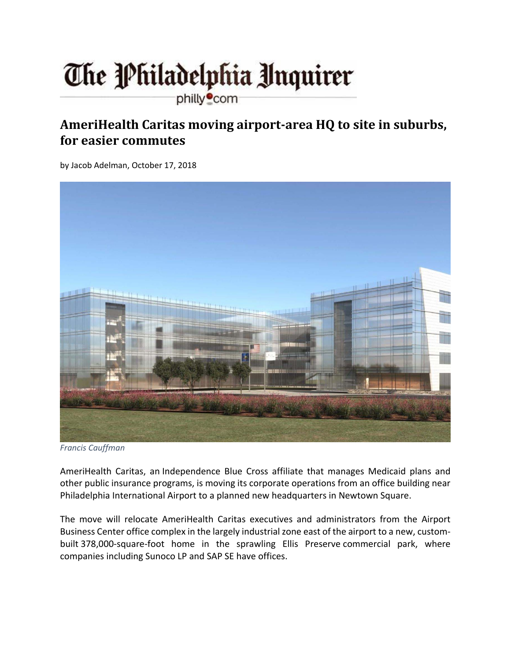## The Philadelphia Unquirer

philly<sup>o</sup>com

## **AmeriHealth Caritas moving airport‐area HQ to site in suburbs, for easier commutes**

by Jacob Adelman, October 17, 2018



*Francis Cauffman*

AmeriHealth Caritas, an Independence Blue Cross affiliate that manages Medicaid plans and other public insurance programs, is moving its corporate operations from an office building near Philadelphia International Airport to a planned new headquarters in Newtown Square.

The move will relocate AmeriHealth Caritas executives and administrators from the Airport Business Center office complex in the largely industrial zone east of the airport to a new, custom‐ built 378,000-square-foot home in the sprawling Ellis Preserve commercial park, where companies including Sunoco LP and SAP SE have offices.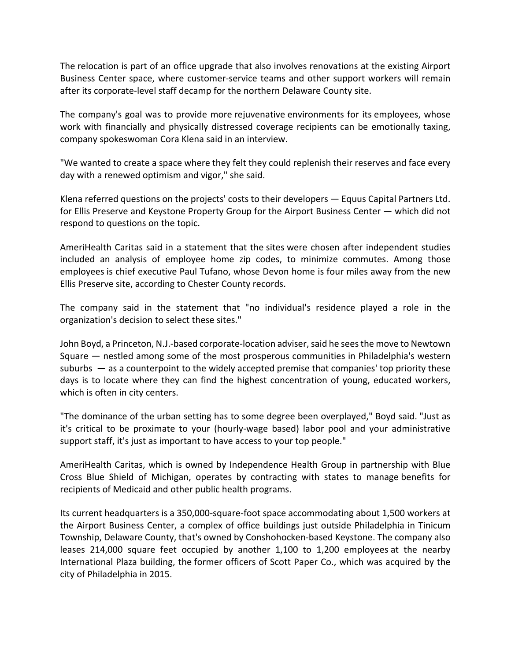The relocation is part of an office upgrade that also involves renovations at the existing Airport Business Center space, where customer‐service teams and other support workers will remain after its corporate‐level staff decamp for the northern Delaware County site.

The company's goal was to provide more rejuvenative environments for its employees, whose work with financially and physically distressed coverage recipients can be emotionally taxing, company spokeswoman Cora Klena said in an interview.

"We wanted to create a space where they felt they could replenish their reserves and face every day with a renewed optimism and vigor," she said.

Klena referred questions on the projects' costs to their developers — Equus Capital Partners Ltd. for Ellis Preserve and Keystone Property Group for the Airport Business Center — which did not respond to questions on the topic.

AmeriHealth Caritas said in a statement that the sites were chosen after independent studies included an analysis of employee home zip codes, to minimize commutes. Among those employees is chief executive Paul Tufano, whose Devon home is four miles away from the new Ellis Preserve site, according to Chester County records.

The company said in the statement that "no individual's residence played a role in the organization's decision to select these sites."

John Boyd, a Princeton, N.J.-based corporate-location adviser, said he sees the move to Newtown Square — nestled among some of the most prosperous communities in Philadelphia's western suburbs  $-$  as a counterpoint to the widely accepted premise that companies' top priority these days is to locate where they can find the highest concentration of young, educated workers, which is often in city centers.

"The dominance of the urban setting has to some degree been overplayed," Boyd said. "Just as it's critical to be proximate to your (hourly‐wage based) labor pool and your administrative support staff, it's just as important to have access to your top people."

AmeriHealth Caritas, which is owned by Independence Health Group in partnership with Blue Cross Blue Shield of Michigan, operates by contracting with states to manage benefits for recipients of Medicaid and other public health programs.

Its current headquarters is a 350,000‐square‐foot space accommodating about 1,500 workers at the Airport Business Center, a complex of office buildings just outside Philadelphia in Tinicum Township, Delaware County, that's owned by Conshohocken‐based Keystone. The company also leases 214,000 square feet occupied by another 1,100 to 1,200 employees at the nearby International Plaza building, the former officers of Scott Paper Co., which was acquired by the city of Philadelphia in 2015.